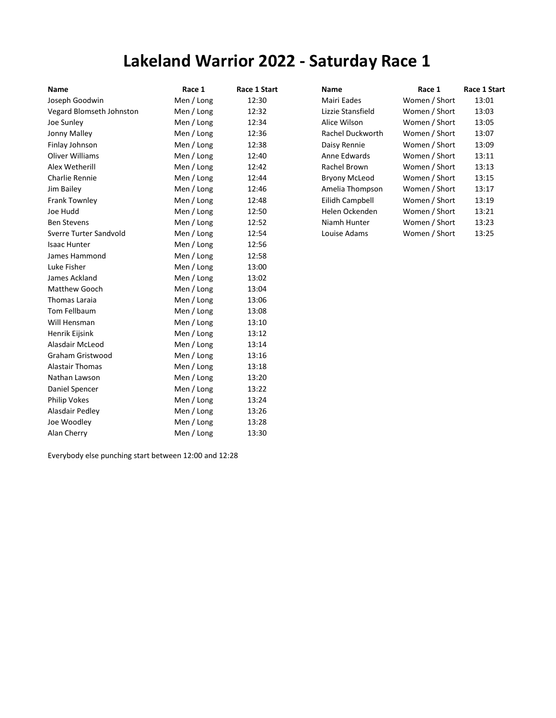## Lakeland Warrior 2022 - Saturday Race 1

| Name                     | Race 1     | Race 1 Start | <b>Name</b>          | Race 1        | Race 1 Start |
|--------------------------|------------|--------------|----------------------|---------------|--------------|
| Joseph Goodwin           | Men / Long | 12:30        | Mairi Eades          | Women / Short | 13:01        |
| Vegard Blomseth Johnston | Men / Long | 12:32        | Lizzie Stansfield    | Women / Short | 13:03        |
| Joe Sunley               | Men / Long | 12:34        | Alice Wilson         | Women / Short | 13:05        |
| Jonny Malley             | Men / Long | 12:36        | Rachel Duckworth     | Women / Short | 13:07        |
| Finlay Johnson           | Men / Long | 12:38        | Daisy Rennie         | Women / Short | 13:09        |
| <b>Oliver Williams</b>   | Men / Long | 12:40        | Anne Edwards         | Women / Short | 13:11        |
| Alex Wetherill           | Men / Long | 12:42        | Rachel Brown         | Women / Short | 13:13        |
| Charlie Rennie           | Men / Long | 12:44        | <b>Bryony McLeod</b> | Women / Short | 13:15        |
| Jim Bailey               | Men / Long | 12:46        | Amelia Thompson      | Women / Short | 13:17        |
| Frank Townley            | Men / Long | 12:48        | Eilidh Campbell      | Women / Short | 13:19        |
| Joe Hudd                 | Men / Long | 12:50        | Helen Ockenden       | Women / Short | 13:21        |
| <b>Ben Stevens</b>       | Men / Long | 12:52        | Niamh Hunter         | Women / Short | 13:23        |
| Sverre Turter Sandvold   | Men / Long | 12:54        | Louise Adams         | Women / Short | 13:25        |
| <b>Isaac Hunter</b>      | Men / Long | 12:56        |                      |               |              |
| James Hammond            | Men / Long | 12:58        |                      |               |              |
| Luke Fisher              | Men / Long | 13:00        |                      |               |              |
| James Ackland            | Men / Long | 13:02        |                      |               |              |
| Matthew Gooch            | Men / Long | 13:04        |                      |               |              |
| Thomas Laraia            | Men / Long | 13:06        |                      |               |              |
| Tom Fellbaum             | Men / Long | 13:08        |                      |               |              |
| Will Hensman             | Men / Long | 13:10        |                      |               |              |
| Henrik Eijsink           | Men / Long | 13:12        |                      |               |              |
| Alasdair McLeod          | Men / Long | 13:14        |                      |               |              |
| Graham Gristwood         | Men / Long | 13:16        |                      |               |              |
| <b>Alastair Thomas</b>   | Men / Long | 13:18        |                      |               |              |
| Nathan Lawson            | Men / Long | 13:20        |                      |               |              |
| Daniel Spencer           | Men / Long | 13:22        |                      |               |              |
| Philip Vokes             | Men / Long | 13:24        |                      |               |              |
| Alasdair Pedley          | Men / Long | 13:26        |                      |               |              |
| Joe Woodley              | Men / Long | 13:28        |                      |               |              |
| Alan Cherry              | Men / Long | 13:30        |                      |               |              |

| Name                 | Race 1        | Race 1 Start |
|----------------------|---------------|--------------|
| Mairi Eades          | Women / Short | 13:01        |
| Lizzie Stansfield    | Women / Short | 13:03        |
| Alice Wilson         | Women / Short | 13:05        |
| Rachel Duckworth     | Women / Short | 13:07        |
| Daisy Rennie         | Women / Short | 13:09        |
| Anne Edwards         | Women / Short | 13:11        |
| Rachel Brown         | Women / Short | 13:13        |
| <b>Bryony McLeod</b> | Women / Short | 13:15        |
| Amelia Thompson      | Women / Short | 13:17        |
| Eilidh Campbell      | Women / Short | 13:19        |
| Helen Ockenden       | Women / Short | 13:21        |
| Niamh Hunter         | Women / Short | 13:23        |
| Louise Adams         | Women / Short | 13:25        |
|                      |               |              |

Everybody else punching start between 12:00 and 12:28